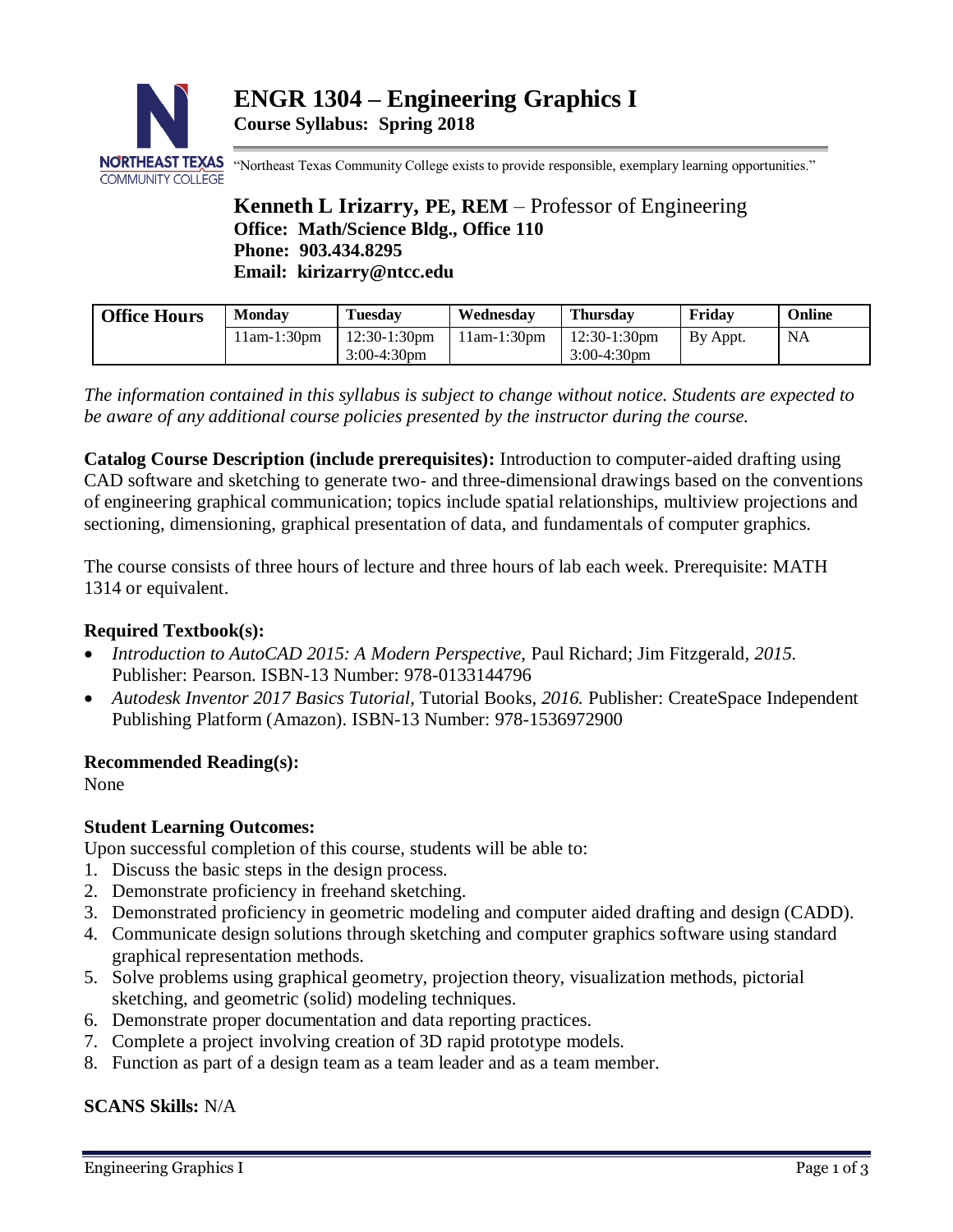

"Northeast Texas Community College exists to provide responsible, exemplary learning opportunities."

**Kenneth L Irizarry, PE, REM** – Professor of Engineering **Office: Math/Science Bldg., Office 110 Phone: 903.434.8295 Email: kirizarry@ntcc.edu**

| <b>Office Hours</b> | <b>Monday</b> | <b>Tuesday</b>  | Wednesdav     | Thursdav        | Friday   | Online |
|---------------------|---------------|-----------------|---------------|-----------------|----------|--------|
|                     | 11am-1:30pm   | $12:30-1:30$ pm | $11am-1:30pm$ | $12:30-1:30$ pm | By Appt. | NA     |
|                     |               | $3:00-4:30$ pm  |               | $3:00-4:30$ pm  |          |        |

*The information contained in this syllabus is subject to change without notice. Students are expected to be aware of any additional course policies presented by the instructor during the course.*

**Catalog Course Description (include prerequisites):** Introduction to computer-aided drafting using CAD software and sketching to generate two- and three-dimensional drawings based on the conventions of engineering graphical communication; topics include spatial relationships, multiview projections and sectioning, dimensioning, graphical presentation of data, and fundamentals of computer graphics.

The course consists of three hours of lecture and three hours of lab each week. Prerequisite: MATH 1314 or equivalent.

# **Required Textbook(s):**

- *Introduction to AutoCAD 2015: A Modern Perspective,* Paul Richard; Jim Fitzgerald*, 2015.* Publisher: Pearson. ISBN-13 Number: 978-0133144796
- *Autodesk Inventor 2017 Basics Tutorial,* Tutorial Books*, 2016.* Publisher: CreateSpace Independent Publishing Platform (Amazon). ISBN-13 Number: 978-1536972900

# **Recommended Reading(s):**

None

# **Student Learning Outcomes:**

Upon successful completion of this course, students will be able to:

- 1. Discuss the basic steps in the design process.
- 2. Demonstrate proficiency in freehand sketching.
- 3. Demonstrated proficiency in geometric modeling and computer aided drafting and design (CADD).
- 4. Communicate design solutions through sketching and computer graphics software using standard graphical representation methods.
- 5. Solve problems using graphical geometry, projection theory, visualization methods, pictorial sketching, and geometric (solid) modeling techniques.
- 6. Demonstrate proper documentation and data reporting practices.
- 7. Complete a project involving creation of 3D rapid prototype models.
- 8. Function as part of a design team as a team leader and as a team member.

**SCANS Skills:** N/A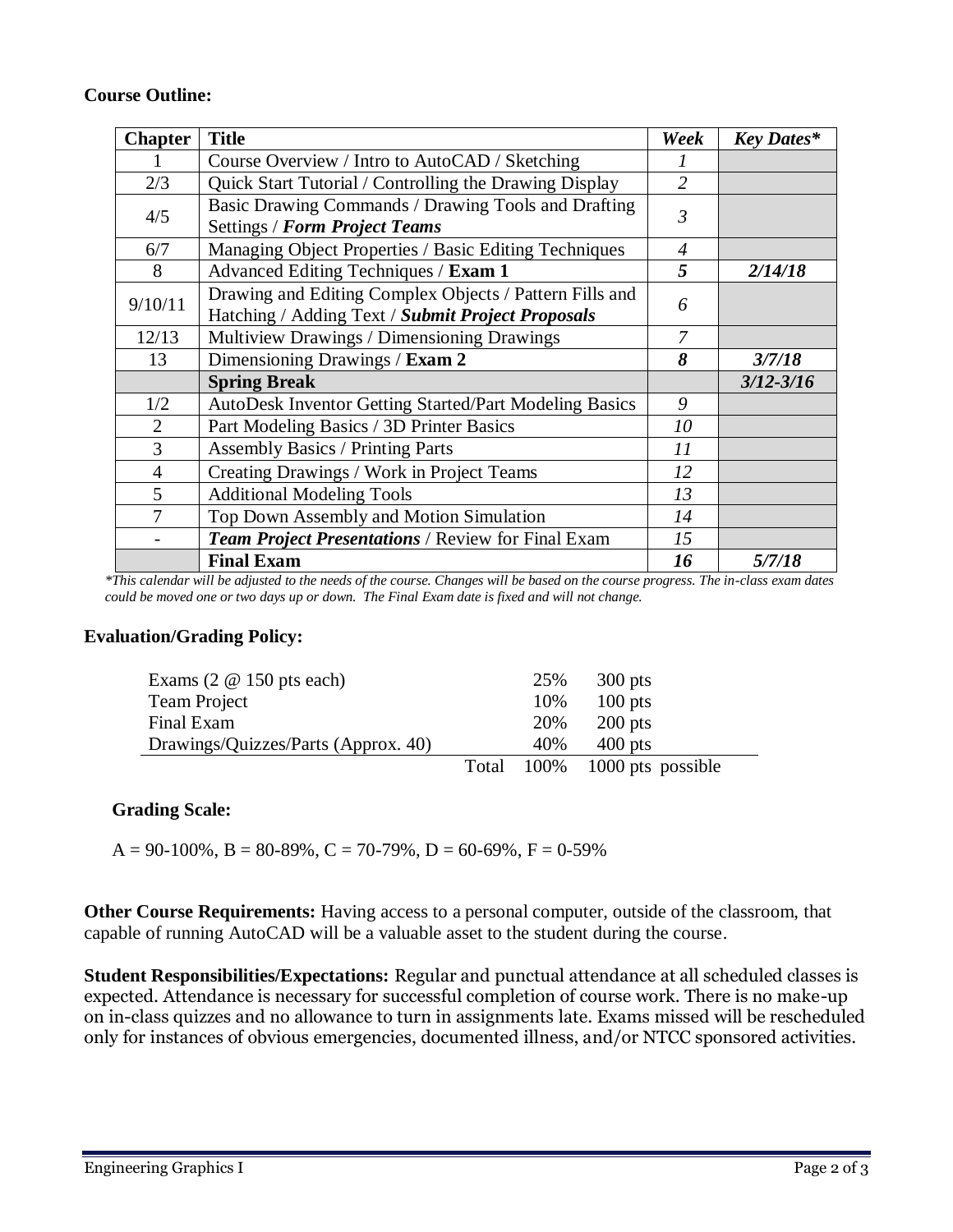# **Course Outline:**

| <b>Chapter</b> | <b>Title</b>                                                                                                 |                | <b>Key Dates*</b> |
|----------------|--------------------------------------------------------------------------------------------------------------|----------------|-------------------|
|                | Course Overview / Intro to AutoCAD / Sketching                                                               |                |                   |
| 2/3            | Quick Start Tutorial / Controlling the Drawing Display                                                       | $\overline{2}$ |                   |
| 4/5            | Basic Drawing Commands / Drawing Tools and Drafting<br><b>Settings / Form Project Teams</b>                  |                |                   |
| 6/7            | Managing Object Properties / Basic Editing Techniques                                                        |                |                   |
| 8              | Advanced Editing Techniques / Exam 1                                                                         | 5              | 2/14/18           |
| 9/10/11        | Drawing and Editing Complex Objects / Pattern Fills and<br>Hatching / Adding Text / Submit Project Proposals |                |                   |
| 12/13          | Multiview Drawings / Dimensioning Drawings                                                                   | 7              |                   |
| 13             | Dimensioning Drawings / Exam 2                                                                               | 8              | 3/7/18            |
|                | <b>Spring Break</b>                                                                                          |                | $3/12 - 3/16$     |
| 1/2            | AutoDesk Inventor Getting Started/Part Modeling Basics                                                       | 9              |                   |
| $\overline{2}$ | Part Modeling Basics / 3D Printer Basics                                                                     | 10             |                   |
| 3              | <b>Assembly Basics / Printing Parts</b>                                                                      | 11             |                   |
| $\overline{4}$ | Creating Drawings / Work in Project Teams                                                                    | 12             |                   |
| 5              | <b>Additional Modeling Tools</b>                                                                             | 13             |                   |
| 7              | Top Down Assembly and Motion Simulation                                                                      | 14             |                   |
|                | <b>Team Project Presentations / Review for Final Exam</b>                                                    | 15             |                   |
|                | <b>Final Exam</b>                                                                                            | 16             | 5/7/18            |

*\*This calendar will be adjusted to the needs of the course. Changes will be based on the course progress. The in-class exam dates could be moved one or two days up or down. The Final Exam date is fixed and will not change.*

#### **Evaluation/Grading Policy:**

| Exams $(2 \t@ 150 \tpt s each)$     | 25% | $300$ pts                    |
|-------------------------------------|-----|------------------------------|
| Team Project                        | 10% | $100$ pts                    |
| Final Exam                          | 20% | $200$ pts                    |
| Drawings/Quizzes/Parts (Approx. 40) | 40% | $400$ pts                    |
|                                     |     | Total 100% 1000 pts possible |

#### **Grading Scale:**

 $A = 90-100\%$ ,  $B = 80-89\%$ ,  $C = 70-79\%$ ,  $D = 60-69\%$ ,  $F = 0-59\%$ 

**Other Course Requirements:** Having access to a personal computer, outside of the classroom, that capable of running AutoCAD will be a valuable asset to the student during the course.

**Student Responsibilities/Expectations:** Regular and punctual attendance at all scheduled classes is expected. Attendance is necessary for successful completion of course work. There is no make-up on in-class quizzes and no allowance to turn in assignments late. Exams missed will be rescheduled only for instances of obvious emergencies, documented illness, and/or NTCC sponsored activities.